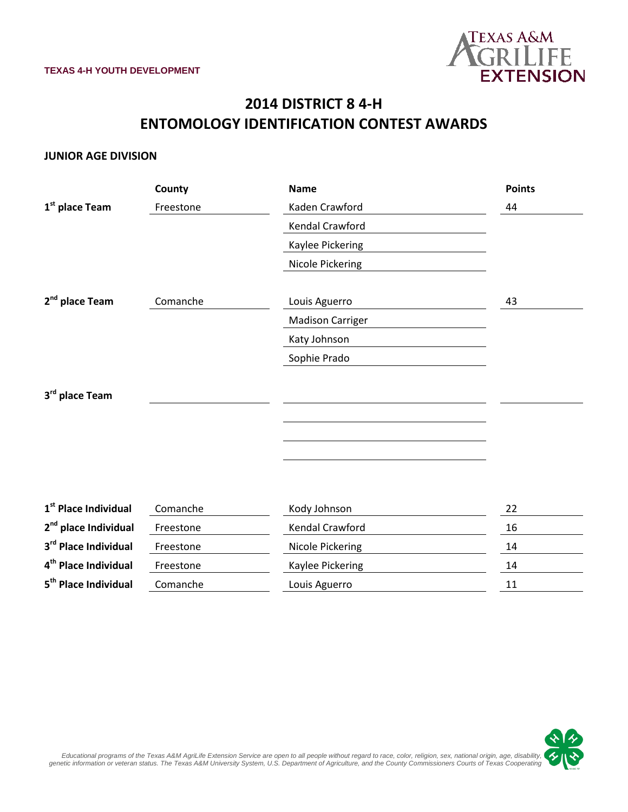

## **2014 DISTRICT 8 4-H ENTOMOLOGY IDENTIFICATION CONTEST AWARDS**

#### **JUNIOR AGE DIVISION**

|                                  | County    | <b>Name</b>             | <b>Points</b> |
|----------------------------------|-----------|-------------------------|---------------|
| 1 <sup>st</sup> place Team       | Freestone | Kaden Crawford          | 44            |
|                                  |           | Kendal Crawford         |               |
|                                  |           | Kaylee Pickering        |               |
|                                  |           | Nicole Pickering        |               |
|                                  |           |                         |               |
| 2 <sup>nd</sup> place Team       | Comanche  | Louis Aguerro           | 43            |
|                                  |           | <b>Madison Carriger</b> |               |
|                                  |           | Katy Johnson            |               |
|                                  |           | Sophie Prado            |               |
|                                  |           |                         |               |
| 3rd place Team                   |           |                         |               |
|                                  |           |                         |               |
|                                  |           |                         |               |
|                                  |           |                         |               |
|                                  |           |                         |               |
|                                  |           |                         |               |
| 1 <sup>st</sup> Place Individual | Comanche  | Kody Johnson            | 22            |
| 2 <sup>nd</sup> place Individual | Freestone | Kendal Crawford         | 16            |
| 3rd Place Individual             | Freestone | Nicole Pickering        | 14            |
| 4 <sup>th</sup> Place Individual | Freestone | Kaylee Pickering        | 14            |
| 5 <sup>th</sup> Place Individual | Comanche  | Louis Aguerro           | 11            |

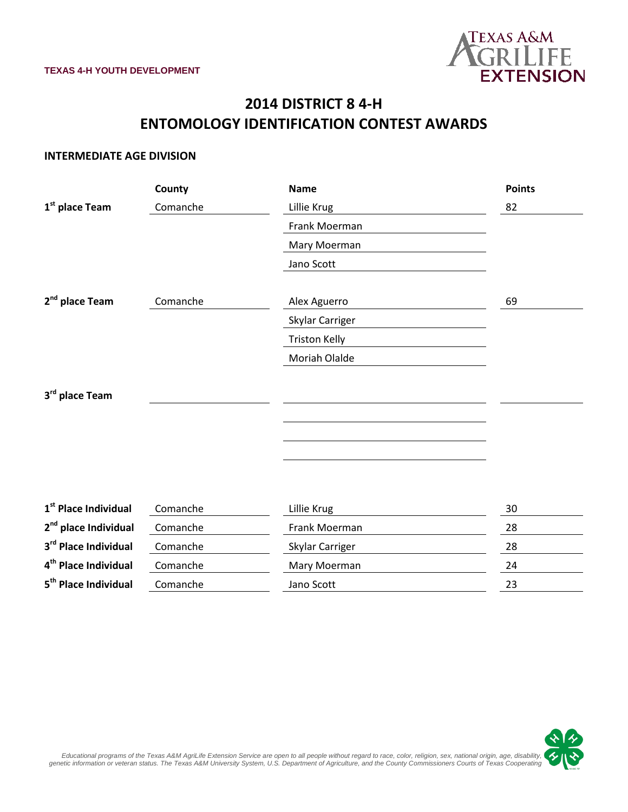

# **2014 DISTRICT 8 4-H ENTOMOLOGY IDENTIFICATION CONTEST AWARDS**

#### **INTERMEDIATE AGE DIVISION**

|                                  | County   | <b>Name</b>          | <b>Points</b> |
|----------------------------------|----------|----------------------|---------------|
| 1 <sup>st</sup> place Team       | Comanche | Lillie Krug          | 82            |
|                                  |          | Frank Moerman        |               |
|                                  |          | Mary Moerman         |               |
|                                  |          | Jano Scott           |               |
|                                  |          |                      |               |
| 2 <sup>nd</sup> place Team       | Comanche | Alex Aguerro         | 69            |
|                                  |          | Skylar Carriger      |               |
|                                  |          | <b>Triston Kelly</b> |               |
|                                  |          | Moriah Olalde        |               |
|                                  |          |                      |               |
| 3rd place Team                   |          |                      |               |
|                                  |          |                      |               |
|                                  |          |                      |               |
|                                  |          |                      |               |
|                                  |          |                      |               |
|                                  |          |                      |               |
| 1 <sup>st</sup> Place Individual | Comanche | Lillie Krug          | 30            |
| 2 <sup>nd</sup> place Individual | Comanche | Frank Moerman        | 28            |
| 3rd Place Individual             | Comanche | Skylar Carriger      | 28            |
| 4 <sup>th</sup> Place Individual | Comanche | Mary Moerman         | 24            |
| 5 <sup>th</sup> Place Individual | Comanche | Jano Scott           | 23            |